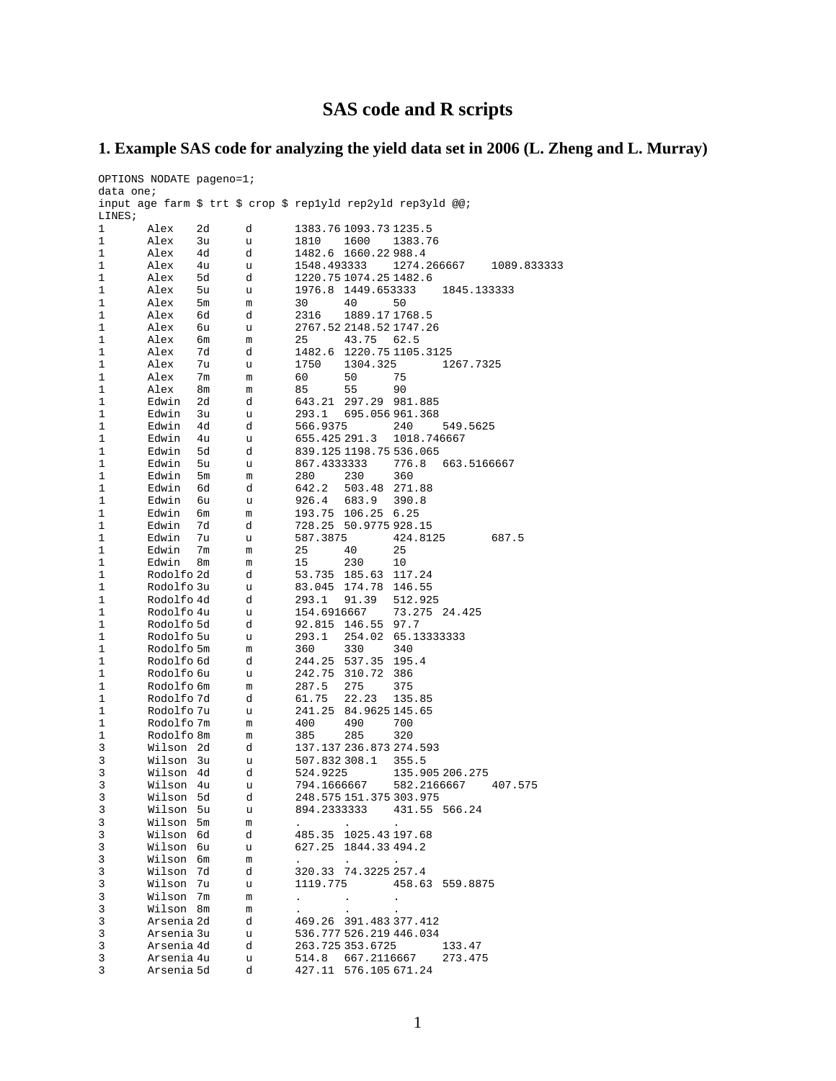# **SAS code and R scripts**

## **1. Example SAS code for analyzing the yield data set in 2006 (L. Zheng and L. Murray)**

|           | OPTIONS NODATE pageno=1; |                |                                                              |                 |                         |                     |                 |             |
|-----------|--------------------------|----------------|--------------------------------------------------------------|-----------------|-------------------------|---------------------|-----------------|-------------|
| data one; |                          |                |                                                              |                 |                         |                     |                 |             |
|           |                          |                | input age farm \$ trt \$ crop \$ replyld rep2yld rep3yld @@; |                 |                         |                     |                 |             |
| LINES;    |                          |                |                                                              |                 |                         |                     |                 |             |
| 1         | Alex                     | 2d             | d                                                            |                 | 1383.76 1093.73 1235.5  |                     |                 |             |
| 1         | Alex                     | 3u             | u                                                            | 1810            | 1600                    | 1383.76             |                 |             |
| 1         | Alex                     | 4d             | d                                                            | 1482.6          | 1660.22988.4            |                     |                 |             |
| 1         | Alex                     | 4u             | u                                                            | 1548.493333     |                         |                     | 1274.266667     | 1089.833333 |
| 1         | Alex                     | 5d             | d                                                            |                 | 1220.75 1074.25 1482.6  |                     |                 |             |
| 1         | Alex                     | 5u             | u                                                            | 1976.8          | 1449.653333             |                     | 1845.133333     |             |
| 1         | Alex                     | 5 <sub>m</sub> | m                                                            | 30              | 40                      | 50                  |                 |             |
| 1         | Alex                     | 6d             | d                                                            | 2316            | 1889.171768.5           |                     |                 |             |
| 1         | Alex                     | 6u             | u                                                            |                 | 2767.52 2148.52 1747.26 |                     |                 |             |
| 1         | Alex                     | 6m             | m                                                            | 25              | 43.75                   | 62.5                |                 |             |
| 1         | Alex                     | 7d             | d                                                            | 1482.6          | 1220.75 1105.3125       |                     |                 |             |
| 1         | Alex                     | 7u             | u                                                            | 1750            | 1304.325                |                     | 1267.7325       |             |
| 1         | Alex                     | 7m             | m                                                            | 60              | 50                      | 75                  |                 |             |
| 1         | Alex                     | 8m             | m                                                            | 85              | 55                      | 90                  |                 |             |
| 1         | Edwin                    | 2d             | d                                                            | 643.21          | 297.29                  | 981.885             |                 |             |
| 1         | Edwin                    | 3u             | u                                                            | 293.1           | 695.056961.368          |                     |                 |             |
| 1         | Edwin                    | 4d             | d                                                            | 566.9375        |                         | 240                 | 549.5625        |             |
| 1         | Edwin                    | 4u             | u                                                            | 655.425 291.3   |                         | 1018.746667         |                 |             |
| 1         | Edwin                    | 5d             | d                                                            |                 | 839.125 1198.75 536.065 |                     |                 |             |
| 1         | Edwin                    | 5u             | u                                                            | 867.4333333     |                         | 776.8               | 663.5166667     |             |
| 1         | Edwin                    | 5m             | m                                                            | 280             | 230                     | 360                 |                 |             |
| 1         | Edwin                    | 6d             | d                                                            | 642.2           | 503.48                  | 271.88              |                 |             |
| 1         | Edwin                    | 6u             | u                                                            | 926.4           | 683.9                   | 390.8               |                 |             |
| 1         | Edwin                    | бm             | m                                                            | 193.75          | 106.25 6.25             |                     |                 |             |
| 1         | Edwin                    | 7d             | d                                                            |                 | 728.25 50.9775 928.15   |                     |                 |             |
| 1         | Edwin                    | 7u             | u                                                            | 587.3875        |                         | 424.8125            |                 | 687.5       |
| 1         | Edwin                    | 7m             | m                                                            | 25              | 40                      | 25                  |                 |             |
| 1         | Edwin                    | 8m             | m                                                            | 15              | 230                     | 10                  |                 |             |
| 1         | Rodolfo 2d               |                | d                                                            | 53.735          | 185.63                  | 117.24              |                 |             |
| 1         | Rodolfo 3u               |                | u                                                            | 83.045          | 174.78                  | 146.55              |                 |             |
| 1         | Rodolfo 4d               |                | d                                                            | 293.1           | 91.39                   | 512.925             |                 |             |
| 1<br>1    | Rodolfo 4u               |                | u<br>d                                                       | 154.6916667     |                         | 73.275 24.425       |                 |             |
| 1         | Rodolfo 5d<br>Rodolfo 5u |                |                                                              | 92.815<br>293.1 | 146.55<br>254.02        | 97.7<br>65.13333333 |                 |             |
| 1         | Rodolfo 5m               |                | u<br>m                                                       | 360             | 330                     | 340                 |                 |             |
| 1         | Rodolfo 6d               |                | d                                                            | 244.25          | 537.35                  | 195.4               |                 |             |
| 1         | Rodolfo 6u               |                | u                                                            | 242.75          | 310.72                  | 386                 |                 |             |
| 1         | Rodolfo 6m               |                | m                                                            | 287.5           | 275                     | 375                 |                 |             |
| 1         | Rodolfo 7d               |                | d                                                            | 61.75           | 22.23                   | 135.85              |                 |             |
| 1         | Rodolfo 7u               |                | u                                                            | 241.25          | 84.9625 145.65          |                     |                 |             |
| 1         | Rodolfo 7m               |                | m                                                            | 400             | 490                     | 700                 |                 |             |
| 1         | Rodolfo 8m               |                | m                                                            | 385             | 285                     | 320                 |                 |             |
| 3         | Wilson                   | 2d             | d                                                            |                 | 137.137 236.873 274.593 |                     |                 |             |
| 3         | Wilson                   | 3u             | u                                                            | 507.832308.1    |                         | 355.5               |                 |             |
| 3         | Wilson                   | 4d             | d                                                            | 524.9225        |                         |                     | 135.905 206.275 |             |
| 3         | Wilson                   | 4u             | u                                                            | 794.1666667     |                         | 582.2166667         |                 | 407.575     |
| 3         | Wilson 5d                |                | d                                                            |                 | 248.575 151.375 303.975 |                     |                 |             |
| 3         | Wilson 5u                |                | u                                                            | 894.2333333     |                         | 431.55              | 566.24          |             |
| 3         | Wilson                   | 5m             | m                                                            |                 |                         | $\bullet$           |                 |             |
| 3         | Wilson                   | 6d             | d                                                            |                 | 485.35 1025.43 197.68   |                     |                 |             |
| 3         | Wilson                   | 6u             | u                                                            |                 | 627.25 1844.33 494.2    |                     |                 |             |
| 3         | Wilson 6m                |                | m                                                            |                 | $\ddot{\phantom{0}}$    | $\bullet$           |                 |             |
| 3         | Wilson                   | 7d             | d                                                            |                 | 320.33 74.3225 257.4    |                     |                 |             |
| 3         | Wilson                   | 7u             | u                                                            | 1119.775        |                         |                     | 458.63 559.8875 |             |
| 3         | Wilson                   | 7m             | m                                                            |                 | $\bullet$               | $\bullet$           |                 |             |
| 3         | Wilson 8m                |                | m                                                            |                 |                         |                     |                 |             |
| 3         | Arsenia 2d               |                | d                                                            |                 | 469.26 391.483 377.412  |                     |                 |             |
| 3         | Arsenia 3u               |                | u                                                            |                 | 536.777 526.219 446.034 |                     |                 |             |
| 3         | Arsenia 4d               |                | d                                                            |                 | 263.725 353.6725        |                     | 133.47          |             |
| 3         | Arsenia 4u               |                | u                                                            |                 | 514.8 667.2116667       |                     | 273.475         |             |
| 3         | Arsenia 5d               |                | d                                                            |                 | 427.11 576.105 671.24   |                     |                 |             |
|           |                          |                |                                                              |                 |                         |                     |                 |             |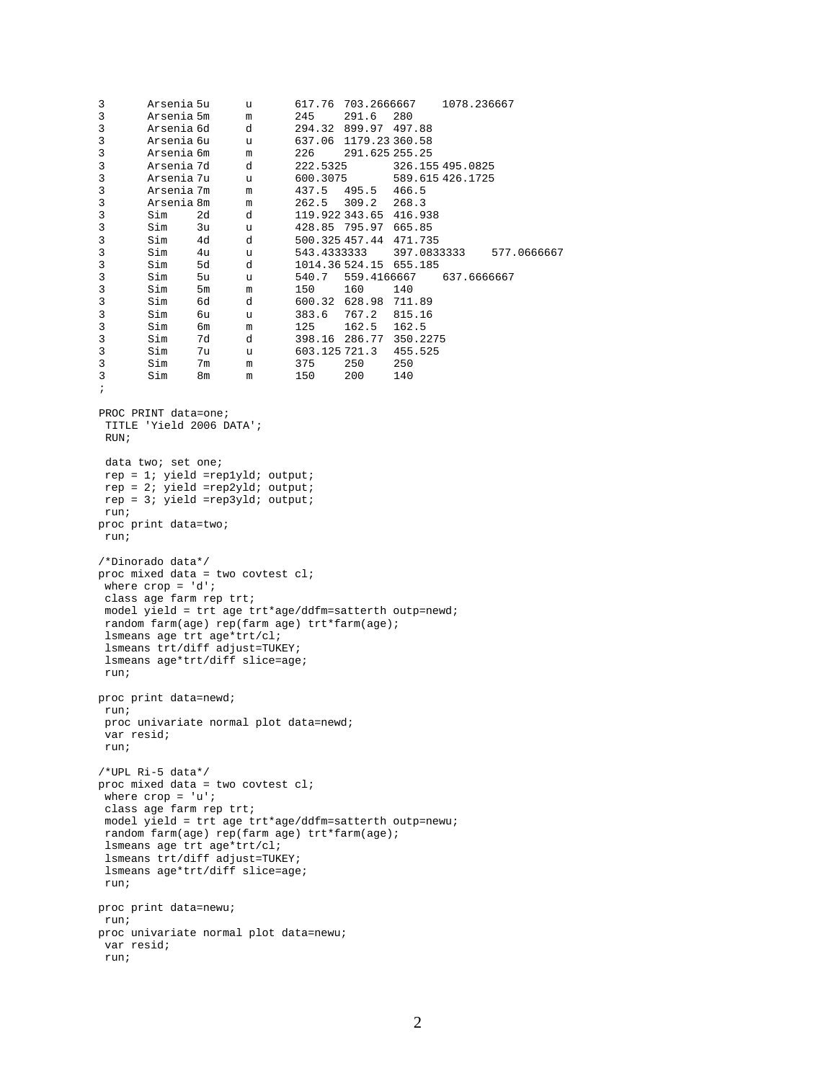3 Arsenia 5u u 617.76 703.2666667 1078.236667 3 Arsenia 5m m 245 291.6 280 3 Arsenia 6d d 294.32 899.97 497.88 3 Arsenia 6u u 637.06 1179.23 360.58 3 Arsenia 6m m 226 291.625 255.25 3 Arsenia 7d d 222.5325 326.155 495.0825 3 Arsenia 7u u 600.3075 589.615 426.1725 3 Arsenia 7m m 437.5 495.5 466.5 3 Arsenia 8m m 262.5 309.2 268.3 3 Sim 2d d 119.922 343.65 416.938 3 Sim 3u u 428.85 795.97 665.85 13 Sim 4d d 500.325 457.44 471.735<br>3 Sim 4u u 543.4333333 397.083<br>3 Sim 5d d 1014.36 524.15 655.185 3 Sim 4u u 543.4333333 397.0833333 577.0666667 3 Sim 5d d 1014.36 524.15 655.185 3 Sim 5u u 540.7 559.4166667<br>3 Sim 5m m 150 160 140 3 Sim 5m m 150 160 140 3 Sim 6d d 600.32 628.98 711.89 3 Sim 6u u 383.6 767.2 815.16 3 Sim 6m m 125 162.5 162.5 3 Sim 7d d 398.16 286.77 350.2275 3 Sim 7u u 603.125 721.3 455.525 3 Sim 7m m 375 250 250 3 Sim 8m m 150 200 140 ; PROC PRINT data=one; TITLE 'Yield 2006 DATA'; RIIN: data two; set one; rep = 1; yield =rep1yld; output; rep = 2; yield =rep2yld; output; rep = 3; yield =rep3yld; output; run; proc print data=two; run; /\*Dinorado data\*/ proc mixed data = two covtest  $cl$ ; where crop = 'd'; class age farm rep trt; model yield = trt age trt\*age/ddfm=satterth outp=newd; random farm(age) rep(farm age) trt\*farm(age); lsmeans age trt age\*trt/cl; lsmeans trt/diff adjust=TUKEY; lsmeans age\*trt/diff slice=age; run; proc print data=newd; run; proc univariate normal plot data=newd; var resid; run; /\*UPL Ri-5 data\*/ proc mixed data = two covtest cl; where  $\text{crop} = 'u'$ ; class age farm rep trt; model yield = trt age trt\*age/ddfm=satterth outp=newu; random farm(age) rep(farm age) trt\*farm(age); lsmeans age trt age\*trt/cl; lsmeans trt/diff adjust=TUKEY; lsmeans age\*trt/diff slice=age; run; proc print data=newu; run; proc univariate normal plot data=newu; var resid; run;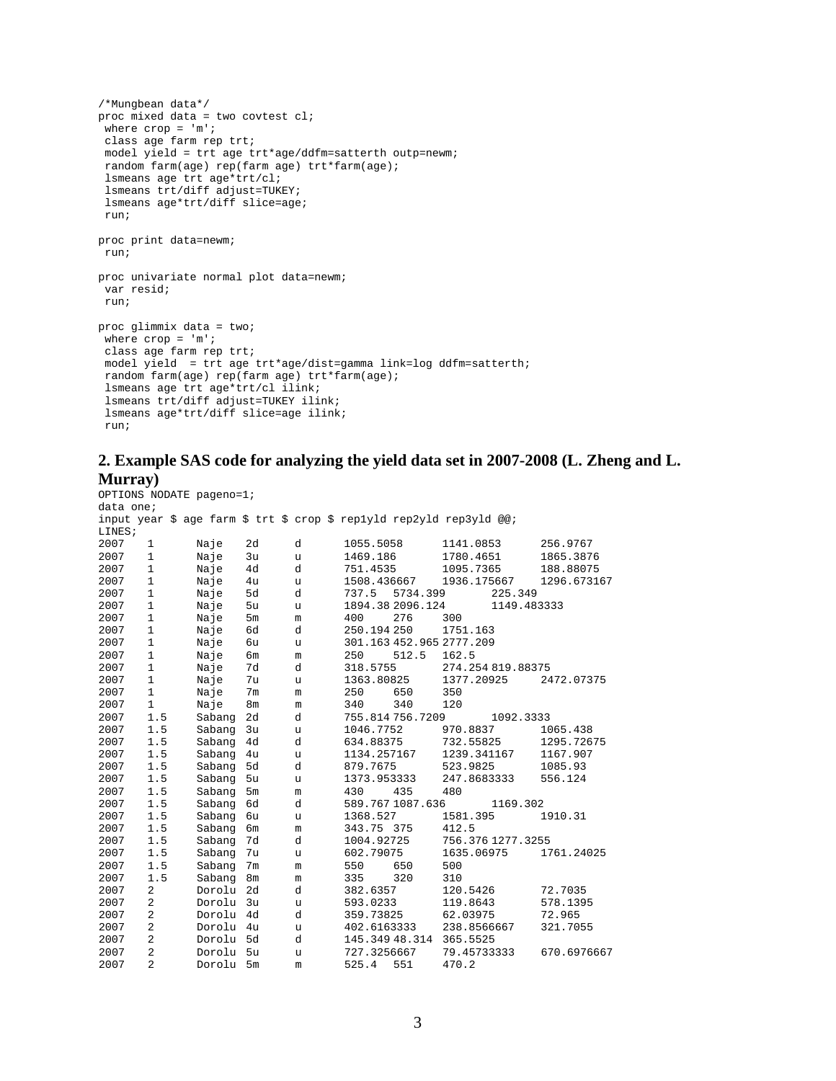```
/*Mungbean data*/
proc mixed data = two covtest cl;
where \text{crop} = \text{'m''}class age farm rep trt;
model yield = trt age trt*age/ddfm=satterth outp=newm;
random farm(age) rep(farm age) trt*farm(age);
lsmeans age trt age*trt/cl;
lsmeans trt/diff adjust=TUKEY;
lsmeans age*trt/diff slice=age;
run;
proc print data=newm;
run;
proc univariate normal plot data=newm;
var resid;
run;
proc glimmix data = two;
where \text{crop} = 'm';
class age farm rep trt;
model yield = trt age trt*age/dist=gamma link=log ddfm=satterth;
random farm(age) rep(farm age) trt*farm(age);
lsmeans age trt age*trt/cl ilink;
lsmeans trt/diff adjust=TUKEY ilink;
lsmeans age*trt/diff slice=age ilink;
run;
```
## **2. Example SAS code for analyzing the yield data set in 2007-2008 (L. Zheng and L. Murray)**

```
OPTIONS NODATE pageno=1;
data one;
input year $ age farm $ trt $ crop $ rep1yld rep2yld rep3yld @@; 
LINES;<br>2007
2007 1 Naje 2d d 1055.5058 1141.0853 256.9767
2007 1 Naje 3u u 1469.186 1780.4651 1865.3876
2007 1 Naje 4d d 751.4535 1095.7365 188.88075
2007 1 Naje 4u u 1508.436667 1936.175667 1296.673167
2007 1 Naje 5d d 737.5 5734.399 225.349
2007 1 Naje 5u u 1894.38 2096.124<br>2007 1 Naje 5m m 400 276 300
2007 1 Naje 5m m 400 276 300
2007 1 Naje 6d d 250.194 250 1751.163
2007 1 Naje 6u u 301.163 452.965 2777.209
2007 1 Naje 6m m 250 512.5 162.5
2007 1 Naje 7d d 318.5755 274.254 819.88375
2007 1 Naje 7u u 1363.80825 137<br>2007 1 Naje 7m m 250 650 350
2007 1 Naje 7m m 250 650 350
2007 1 Naje 8m m 340 340 120
2007 1.5 Sabang 2d d 755.814 756.7209 1092.3333
2007 1.5 Sabang 3u u 1046.7752 970.8837 1065.438
2007 1.5 Sabang 4d d 634.88375 732.55825 1295.72675
2007 1.5 Sabang 4u u 1134.257167 1239.341167 1167.907
2007 1.5 Sabang 5d d 879.7675 523.9825 1085.93
2007 1.5 Sabang 5u u 1373.953333 247.8683333<br>2007 1.5 Sabang 5m m 430 435 480
2007 1.5 Sabang 5m m<br>2007 1.5 Sabang 6d d
2007 1.5 Sabang 6d d 589.767 1087.636 1169.302
2007 1.5 Sabang 6u u 1368.527 1581.<br>2007 1.5 Sabang 6m m 343.75 375 412.5
2007 1.5 Sabang 6m m 343.75 375<br>2007 1.5 Sabang 7d d 1004.92725
2007 1.5 Sabang 7d d 1004.92725 756.376 1277.3255
2007 1.5 Sabang 7u u 602.79075 163!<br>2007 1.5 Sabang 7m m 550 650 500
2007 1.5 Sabang 7m m 550 650 500
2007 1.5 Sabang 8m m 335 320 310
2007 2 Dorolu 2d d 382.6357 120.5426 72.7035
2007 2 Dorolu 3u u 593.0233 119.8643 578.13<br>2007 2 Dorolu 4d d 359.73825 62.03975 72.965
2007 2 Dorolu 4d d 359.73825 62.03975 72.965
2007 2 Dorolu 4u u 402.6163333 238.8566667 321.7055
2007 2 Dorolu 5d d 145.349 48.314 365.5525
2007 2 Dorolu 5u u 727.3256667 79.45733333 670.6976667
                            525.4 551
```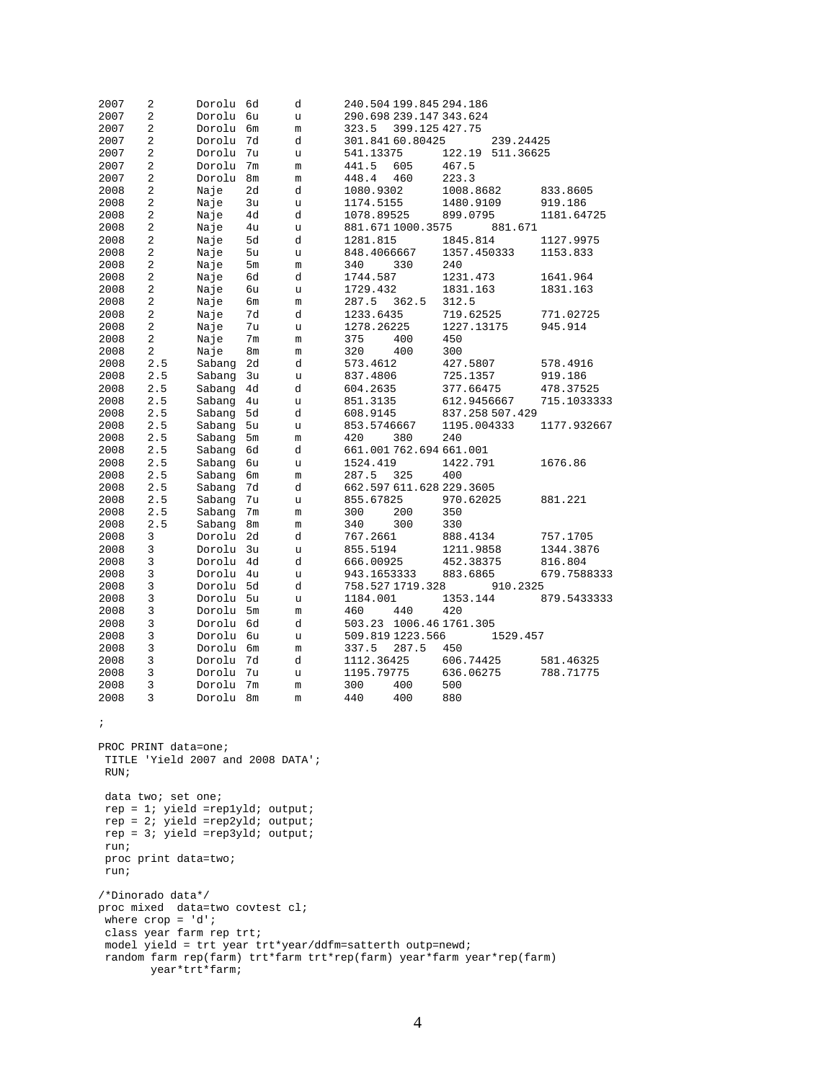| 2007                            | 2                                | Dorolu                              | 6d             | d             | 240.504 199.845 294.186                                               |                |                          |           |             |  |  |
|---------------------------------|----------------------------------|-------------------------------------|----------------|---------------|-----------------------------------------------------------------------|----------------|--------------------------|-----------|-------------|--|--|
| 2007                            | 2                                | Dorolu                              | 6u             | u             | 290.698 239.147 343.624                                               |                |                          |           |             |  |  |
| 2007                            | 2                                | Dorolu                              | 6m             | m             | 323.5                                                                 | 399.125 427.75 |                          |           |             |  |  |
| 2007                            | 2                                | Dorolu                              | 7d             | d             | 301.841 60.80425                                                      |                |                          | 239.24425 |             |  |  |
| 2007                            | 2                                | Dorolu                              | 7u             | u             | 541.13375                                                             |                | 122.19                   | 511.36625 |             |  |  |
| 2007                            | 2                                | Dorolu                              | 7 <sub>m</sub> | m             | 441.5                                                                 | 605            | 467.5                    |           |             |  |  |
| 2007                            | 2                                | Dorolu                              | 8 <sub>m</sub> | m             | 448.4                                                                 | 460            | 223.3                    |           |             |  |  |
| 2008                            | 2                                | Naje                                | 2d             | d             | 1080.9302                                                             |                | 1008.8682                |           | 833.8605    |  |  |
| 2008                            | 2                                | Naje                                | 3u             | u             | 1174.5155                                                             |                | 1480.9109                |           | 919.186     |  |  |
| 2008                            | 2                                | Naje                                | 4d             | d             | 1078.89525                                                            |                | 899.0795                 |           | 1181.64725  |  |  |
| 2008                            | 2                                | Naje                                | 4u             | u             | 881.671 1000.3575                                                     |                |                          | 881.671   |             |  |  |
| 2008                            | 2                                | Naje                                | 5d             | d             | 1281.815                                                              |                | 1845.814                 |           | 1127.9975   |  |  |
| 2008                            | 2                                | Naje                                | 5u             | u             | 848.4066667                                                           |                | 1357.450333              |           | 1153.833    |  |  |
| 2008                            | 2                                | Naje                                | 5m             | m             | 340                                                                   | 330            | 240                      |           |             |  |  |
| 2008                            | 2                                | Naje                                | 6d             | d             | 1744.587                                                              |                | 1231.473                 |           | 1641.964    |  |  |
| 2008                            | 2                                | Naje                                | 6u             | u             | 1729.432                                                              |                | 1831.163                 |           | 1831.163    |  |  |
| 2008                            | 2                                | Naje                                | бm             | m             | 287.5                                                                 | 362.5          | 312.5                    |           |             |  |  |
| 2008                            | 2                                | Naje                                | 7d             | d             | 1233.6435                                                             |                | 719.62525                |           | 771.02725   |  |  |
| 2008                            | 2                                | Naje                                | 7u             | u             | 1278.26225                                                            |                | 1227.13175               |           | 945.914     |  |  |
| 2008                            | 2                                | Naje                                | 7m             | m             | 375                                                                   | 400            | 450                      |           |             |  |  |
| 2008                            | 2                                | Naje                                | 8m             | m             | 320                                                                   | 400            | 300                      |           |             |  |  |
| 2008                            | 2.5                              | Sabang                              | 2d             | d             | 573.4612                                                              |                | 427.5807                 |           | 578.4916    |  |  |
| 2008                            | 2.5                              | Sabang                              | 3u             | u             | 837.4806                                                              |                | 725.1357                 |           | 919.186     |  |  |
| 2008                            | 2.5                              | Sabang                              | 4d             | d             | 604.2635                                                              |                | 377.66475                |           | 478.37525   |  |  |
| 2008                            | 2.5                              | Sabang                              | 4u             | u             | 851.3135                                                              |                | 612.9456667              |           | 715.1033333 |  |  |
| 2008                            | 2.5                              | Sabang                              | 5d             | d             | 608.9145                                                              |                | 837.258 507.429          |           |             |  |  |
| 2008                            | 2.5                              | Sabang                              | 5u             | u             | 853.5746667                                                           |                | 1195.004333              |           | 1177.932667 |  |  |
| 2008                            | 2.5                              | Sabang                              | 5 <sub>m</sub> | m             | 420                                                                   | 380            | 240                      |           |             |  |  |
| 2008                            | 2.5                              | Sabang                              | 6d             | d             | 661.001762.694661.001                                                 |                |                          |           |             |  |  |
| 2008                            | 2.5                              | Sabang                              | бu             | u             | 1524.419                                                              |                | 1422.791                 |           | 1676.86     |  |  |
| 2008                            | 2.5                              | Sabang                              | бm             | m             | 287.5                                                                 | 325            | 400                      |           |             |  |  |
| 2008                            | 2.5                              | Sabang                              | 7d             | d             |                                                                       |                | 662.597 611.628 229.3605 |           |             |  |  |
| 2008                            | 2.5                              | Sabang                              | 7u             | u             | 855.67825                                                             |                | 970.62025                |           | 881.221     |  |  |
| 2008                            | 2.5                              | Sabang                              | 7 <sub>m</sub> | m             | 300                                                                   | 200            | 350                      |           |             |  |  |
| 2008                            | 2.5                              | Sabang                              | 8 <sub>m</sub> | m             | 340                                                                   | 300            | 330                      |           |             |  |  |
| 2008                            | 3                                | Dorolu 2d                           |                | d             | 767.2661                                                              |                | 888.4134                 |           | 757.1705    |  |  |
| 2008                            | 3                                | Dorolu                              | 3u             | u             | 855.5194                                                              |                | 1211.9858                |           | 1344.3876   |  |  |
| 2008                            | 3                                | Dorolu                              | 4d             | d             | 666.00925                                                             |                | 452.38375                |           | 816.804     |  |  |
| 2008                            | 3                                | Dorolu 4u                           |                | u             | 943.1653333                                                           |                | 883.6865                 |           | 679.7588333 |  |  |
| 2008                            | 3                                | Dorolu                              | 5d             | d             | 758.5271719.328                                                       |                |                          | 910.2325  |             |  |  |
| 2008                            | 3                                | Dorolu                              | 5u             | u             | 1184.001                                                              |                | 1353.144                 |           | 879.5433333 |  |  |
| 2008                            | 3                                | Dorolu                              | 5 <sub>m</sub> | m             | 460                                                                   | 440            | 420                      |           |             |  |  |
| 2008                            | 3                                | Dorolu                              | 6d             | d             |                                                                       |                | 503.23 1006.46 1761.305  |           |             |  |  |
| 2008                            | 3                                | Dorolu                              | 6u             | u             | 509.819 1223.566                                                      |                |                          | 1529.457  |             |  |  |
| 2008                            | 3                                | Dorolu                              | 6m             | m             | 337.5                                                                 | 287.5          | 450                      |           |             |  |  |
| 2008                            | 3                                | Dorolu                              | 7d             | d             | 1112.36425                                                            |                | 606.74425                |           | 581.46325   |  |  |
| 2008                            | 3                                | Dorolu                              | 7u             | u             | 1195.79775                                                            |                | 636.06275                |           | 788.71775   |  |  |
| 2008                            | 3                                | Dorolu                              | 7 <sub>m</sub> | $\mathfrak m$ | 300                                                                   | 400            | 500                      |           |             |  |  |
| 2008                            | 3                                | Dorolu                              | 8 <sub>m</sub> | $\mathfrak m$ | 440                                                                   | 400            | 880                      |           |             |  |  |
|                                 |                                  |                                     |                |               |                                                                       |                |                          |           |             |  |  |
| $\cdot$                         |                                  |                                     |                |               |                                                                       |                |                          |           |             |  |  |
|                                 |                                  |                                     |                |               |                                                                       |                |                          |           |             |  |  |
|                                 | PROC PRINT data=one;             |                                     |                |               |                                                                       |                |                          |           |             |  |  |
|                                 |                                  | TITLE 'Yield 2007 and 2008 DATA';   |                |               |                                                                       |                |                          |           |             |  |  |
| RUN;                            |                                  |                                     |                |               |                                                                       |                |                          |           |             |  |  |
|                                 |                                  |                                     |                |               |                                                                       |                |                          |           |             |  |  |
|                                 | data two; set one;               |                                     |                |               |                                                                       |                |                          |           |             |  |  |
|                                 |                                  | $rep = 1$ ; yield =replyld; output; |                |               |                                                                       |                |                          |           |             |  |  |
|                                 | rep = 2; yield =rep2yld; output; |                                     |                |               |                                                                       |                |                          |           |             |  |  |
|                                 |                                  | $rep = 3i$ yield = rep3yld; output; |                |               |                                                                       |                |                          |           |             |  |  |
| run;                            |                                  |                                     |                |               |                                                                       |                |                          |           |             |  |  |
|                                 | proc print data=two;             |                                     |                |               |                                                                       |                |                          |           |             |  |  |
| run;                            |                                  |                                     |                |               |                                                                       |                |                          |           |             |  |  |
|                                 |                                  |                                     |                |               |                                                                       |                |                          |           |             |  |  |
| /*Dinorado data*/               |                                  |                                     |                |               |                                                                       |                |                          |           |             |  |  |
| proc mixed data=two covtest cl; |                                  |                                     |                |               |                                                                       |                |                          |           |             |  |  |
|                                 | where $\text{crop} = 'd'$ ;      |                                     |                |               |                                                                       |                |                          |           |             |  |  |
|                                 |                                  | class year farm rep trt;            |                |               |                                                                       |                |                          |           |             |  |  |
|                                 |                                  |                                     |                |               | model yield = trt year trt*year/ddfm=satterth outp=newd;              |                |                          |           |             |  |  |
|                                 |                                  |                                     |                |               | random farm rep(farm) trt*farm trt*rep(farm) year*farm year*rep(farm) |                |                          |           |             |  |  |
|                                 |                                  | year*trt*farm;                      |                |               |                                                                       |                |                          |           |             |  |  |
|                                 |                                  |                                     |                |               |                                                                       |                |                          |           |             |  |  |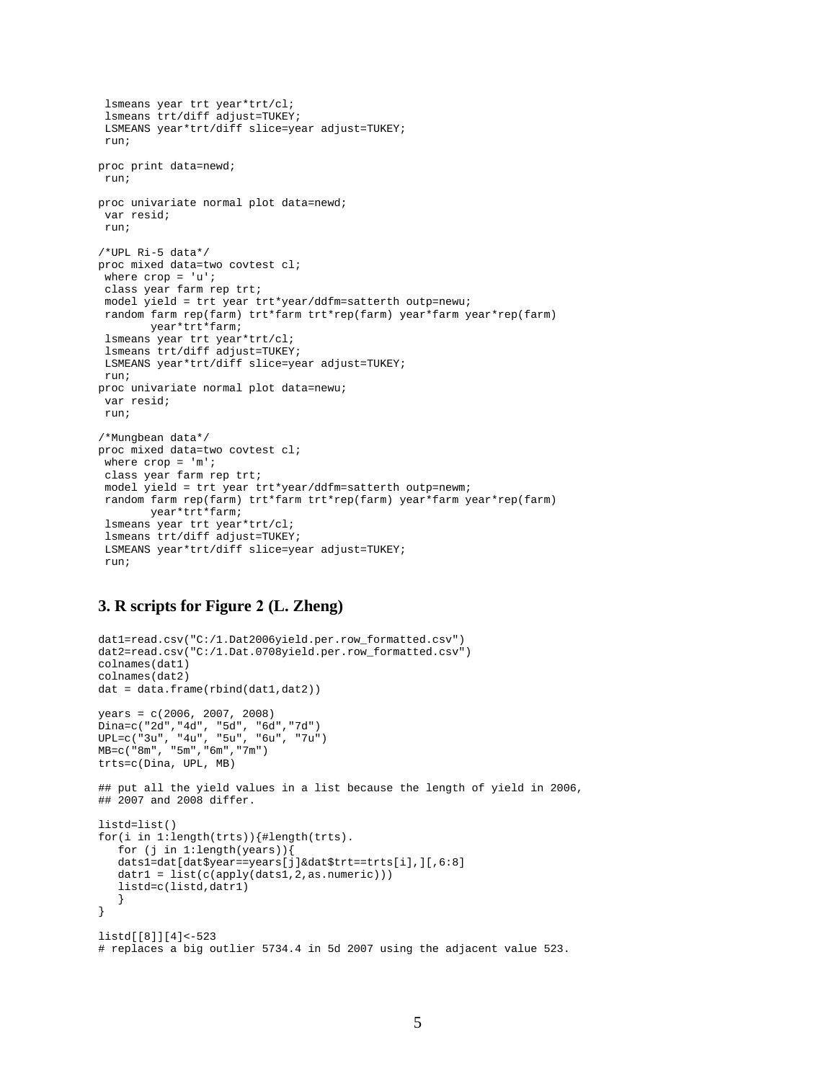```
lsmeans year trt year*trt/cl;
 lsmeans trt/diff adjust=TUKEY;
LSMEANS year*trt/diff slice=year adjust=TUKEY;
run;
proc print data=newd;
run;
proc univariate normal plot data=newd;
var resid;
run;
/*UPL Ri-5 data*/
proc mixed data=two covtest cl;
 where \text{crop} = 'u';
class year farm rep trt;
model yield = trt year trt*year/ddfm=satterth outp=newu;
random farm rep(farm) trt*farm trt*rep(farm) year*farm year*rep(farm) 
        year*trt*farm;
lsmeans year trt year*trt/cl;
lsmeans trt/diff adjust=TUKEY;
LSMEANS year*trt/diff slice=year adjust=TUKEY;
run;
proc univariate normal plot data=newu;
var resid;
run;
/*Mungbean data*/
proc mixed data=two covtest cl;
where \text{crop} = 'm';
class year farm rep trt;
model yield = trt year trt*year/ddfm=satterth outp=newm;
random farm rep(farm) trt*farm trt*rep(farm) year*farm year*rep(farm) 
        year*trt*farm;
lsmeans year trt year*trt/cl;
lsmeans trt/diff adjust=TUKEY;
LSMEANS year*trt/diff slice=year adjust=TUKEY;
run;
```
#### **3. R scripts for Figure 2 (L. Zheng)**

```
dat1=read.csv("C:/1.Dat2006yield.per.row_formatted.csv")
dat2=read.csv("C:/1.Dat.0708yield.per.row_formatted.csv")
colnames(dat1)
colnames(dat2)
dat = data.frame(rbind(dat1,dat2))
years = c(2006, 2007, 2008)
Dina=c("2d","4d", "5d", "6d","7d")
UPL=c("3u", "4u", "5u", "6u", "7u")
MB=c("8m", "5m","6m","7m")
trts=c(Dina, UPL, MB)
## put all the yield values in a list because the length of yield in 2006, 
## 2007 and 2008 differ. 
listd=list()
for(i in 1:length(trts)){#length(trts).
    for (j in 1:length(years)){
    dats1=dat[dat$year==years[j]&dat$trt==trts[i],][,6:8]
   datr1 = list(c(apply(dats1,2,as.numeric)))
    listd=c(listd,datr1)
    } 
} 
listd[[8]][4]<-523 
# replaces a big outlier 5734.4 in 5d 2007 using the adjacent value 523.
```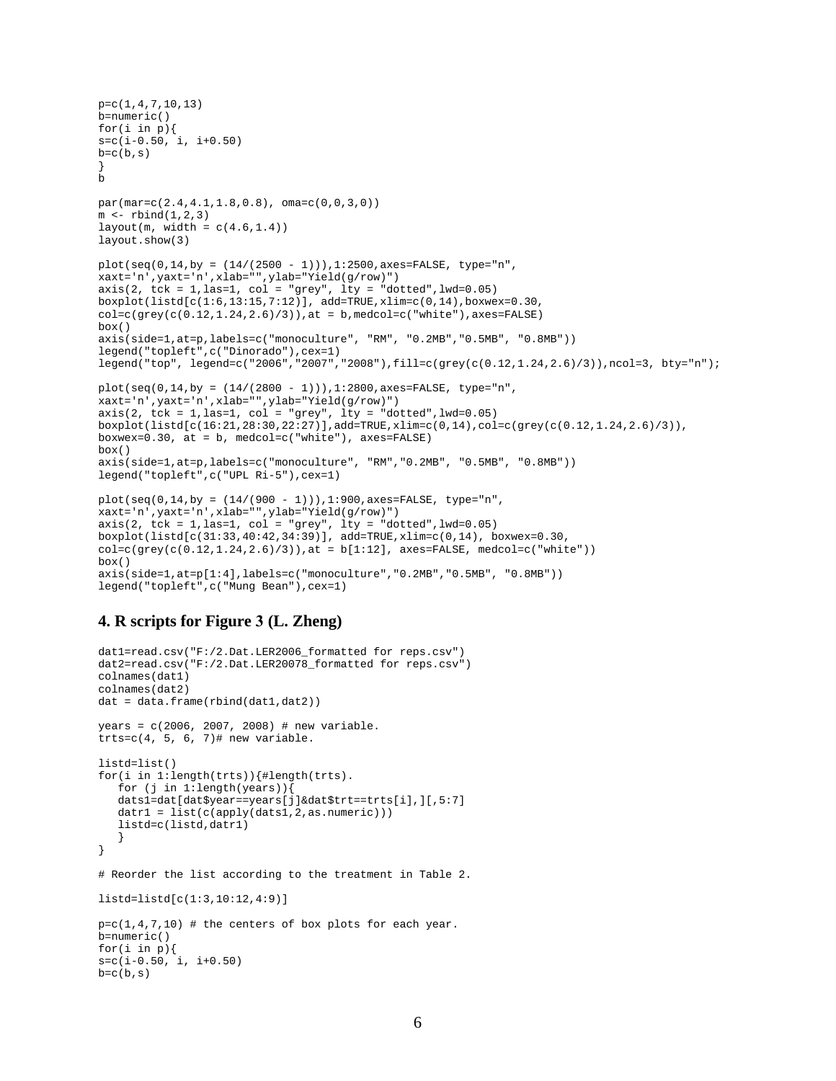```
p=c(1,4,7,10,13) 
b=numeric()
for(i in p) {
s=c(i-0.50, i, i+0.50)b=c(b,s)}
b
par(mar=c(2.4,4.1,1.8,0.8), oma=c(0,0,3,0))
m \leftarrow rbind(1,2,3)
layout(m, width = c(4.6, 1.4))
layout.show(3)
plot(seq(0, 14, by = (14/(2500 - 1))), 1:2500, axes=FALSE, type="n",xaxt='n',yaxt='n',xlab="",ylab="Yield(g/row)")
axis(2, tok = 1, las=1, col = "grey", lty = "dotted", lwd=0.05)boxplot(listd[c(1:6,13:15,7:12)], add=TRUE,xlim=c(0,14),boxwex=0.30, 
col=c(qrev(c(0.12,1.24,2.6)/3)), at = b, medcol=c("white"), axes=FALSE)
box()axis(side=1,at=p,labels=c("monoculture", "RM", "0.2MB","0.5MB", "0.8MB"))
legend("topleft",c("Dinorado"),cex=1)
legend("top", legend=c("2006","2007","2008"),fill=c(grey(c(0.12,1.24,2.6)/3)),ncol=3, bty="n");
plot(seq(0, 14, by = (14/(2800 - 1))), 1:2800, axes=FALSE, type="n",xaxt='n',yaxt='n',xlab="",ylab="Yield(g/row)")
axis(2, tck = 1, las=1, col = "grey", lty = "dotted", lwd=0.05)
boxplot(listd[c(16:21,28:30,22:27)],add=TRUE,xlim=c(0,14),col=c(grey(c(0.12,1.24,2.6)/3)), 
boxwex=0.30, at = b, medcol=c('white"), axes=FALSE)
box()
axis(side=1,at=p,labels=c("monoculture", "RM","0.2MB", "0.5MB", "0.8MB"))
legend("topleft",c("UPL Ri-5"),cex=1)
plot(seq(0, 14, by = (14/(900 - 1))), 1:900, axes=FALSE, type="n",xaxt='n',yaxt='n',xlab="",ylab="Yield(g/row)")
axis(2, tck = 1, las=1, col = "grey", lty = "dotted", lwd=0.05)
boxplot(listd[c(31:33,40:42,34:39)], add=Truer, xlim=c(0,14), boxwex=0.30,\verb"col=c(grey(c(0.12,1.24,2.6)/3)) , at = b[1:12], axes=FALSE, medcol=c("white"))
box()
axis(side=1,at=p[1:4],labels=c("monoculture","0.2MB","0.5MB", "0.8MB"))
```
#### legend("topleft",c("Mung Bean"),cex=1)

## **4. R scripts for Figure 3 (L. Zheng)**

```
dat1=read.csv("F:/2.Dat.LER2006 formatted for reps.csv")
dat2=read.csv("F:/2.Dat.LER20078 formatted for reps.csv")
colnames(dat1)
colnames(dat2)
dat = data.frame(rbind(dat1,dat2))
years = c(2006, 2007, 2008) # new variable.\text{trts=c}(4, 5, 6, 7)# new variable.
listd=list()
for(i in 1:length(trts)){#length(trts).
   for (j in 1:length(years)){
   dats1=dat[dat$year==years[j]&dat$trt==trts[i],][,5:7]
  datr1 = list(c(apply(dats1,2,as.numeric)))
    listd=c(listd,datr1)
    } 
} 
# Reorder the list according to the treatment in Table 2. 
listd=listd[c(1:3,10:12,4:9)]
p=c(1,4,7,10) # the centers of box plots for each year.
b=numeric()
for(i in p) {
s=c(i-0.50, i, i+0.50)
b=c(b,s)
```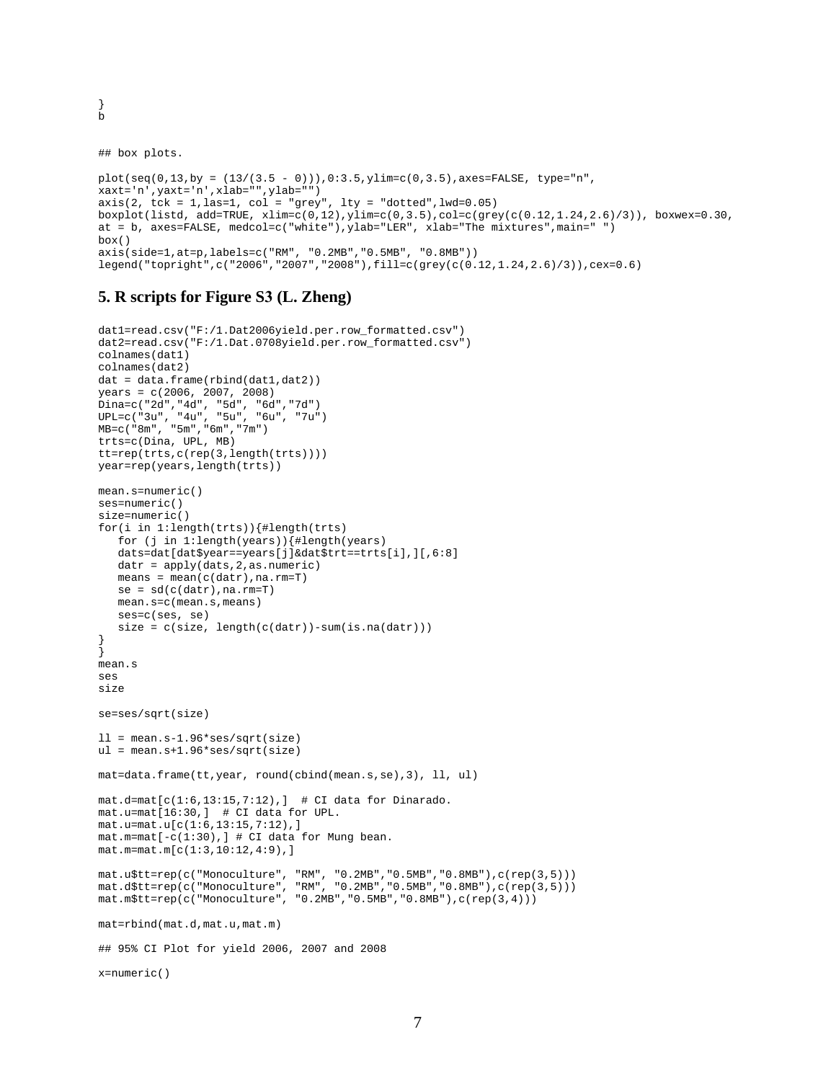```
b
```
}

## box plots.

```
plot(seq(0, 13, by = (13/(3.5 - 0)))), 0:3.5, ylinder(0, 3.5), axes=FALSE, type="n",
xaxt='n',yaxt='n',xlab="",ylab="")
axis(2, tck = 1, las=1, col = "grey", lty = "dotted", lwd=0.05)boxplot(listd, add=TRUE, xlim=c(0,12),ylim=c(0,3.5),col=c(grey(c(0.12,1.24,2.6)/3)), boxwex=0.30, 
at = b, axes=FALSE, medcol=c("white"),ylab="LER", xlab="The mixtures",main=" ")
box()
axis(side=1,at=p,labels=c("RM", "0.2MB","0.5MB", "0.8MB")) 
legend("topright",c("2006","2007","2008"),fill=c(grey(c(0.12,1.24,2.6)/3)),cex=0.6)
```
## **5. R scripts for Figure S3 (L. Zheng)**

```
dat1=read.csv("F:/1.Dat2006yield.per.row_formatted.csv")
dat2=read.csv("F:/1.Dat.0708yield.per.row_formatted.csv")
colnames(dat1)
colnames(dat2)
dat = data.frame(rbind(dat1,dat2))
years = c(2006, 2007, 2008)
Dina=c("2d","4d", "5d", "6d","7d")
UPL=c("3u", "4u", "5u", "6u", "7u")
MB=c("8m", "5m","6m","7m")
trts=c(Dina, UPL, MB)
tt=rep(trts,c(rep(3,length(trts))))
year=rep(years,length(trts))
mean.s=numeric()
ses=numeric()
size=numeric()
for(i in 1:length(trts)){#length(trts)
    for (j in 1:length(years)){#length(years)
    dats=dat[dat$year==years[j]&dat$trt==trts[i],][,6:8]
   datr = apply(dats, 2, as.numeric) means = mean(c(datr),na.rm=T)
   se = sd(c(data),na.rm=T) mean.s=c(mean.s,means)
    ses=c(ses, se)
   size = c(size, length(c(data)) - sum(is.na(data)))}
}
mean.s
ses
size
se=ses/sqrt(size)
11 = mean.s-1.96*ses/sqrt(size)ul = mean.s+1.96*ses/sqrt(size)
mat=data.frame(tt,year, round(cbind(mean.s,se),3), ll, ul)
mat.d=mat[c(1:6,13:15,7:12),] # CI data for Dinarado.
mat.u=mat[16:30,] # CI data for UPL.
mat.u=mat.u[c(1:6,13:15,7:12),]
mat.m=mat[-c(1:30),] # CI data for Mung bean.
mat.m=mat.m[c(1:3,10:12,4:9),]
mat.u$tt=rep(c("Monoculture", "RM", "0.2MB","0.5MB","0.8MB"),c(rep(3,5)))
mat.d$tt=rep(c("Monoculture", "RM", "0.2MB","0.5MB","0.8MB"),c(rep(3,5)))
mat.m$tt=rep(c("Monoculture", "0.2MB","0.5MB","0.8MB"),c(rep(3,4)))
mat=rbind(mat.d,mat.u,mat.m)
## 95% CI Plot for yield 2006, 2007 and 2008
x=numeric()
```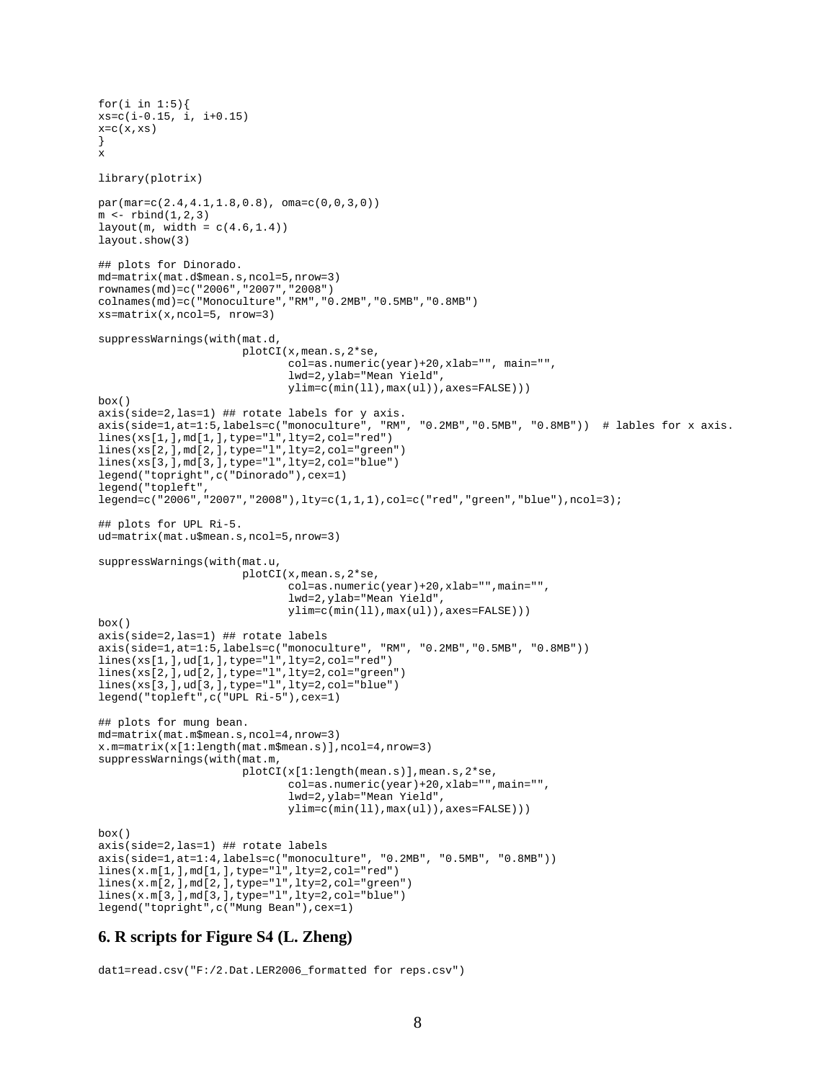```
for(i in 1:5){
xs = c(i-0.15, i, i+0.15)x=C(x,xs)}
x
library(plotrix)
par(mar=c(2.4,4.1,1.8,0.8), oma=c(0,0,3,0))
m \leftarrow rbind(1,2,3)layout(m, width = c(4.6, 1.4))layout.show(3)
## plots for Dinorado.
md=matrix(mat.d$mean.s,ncol=5,nrow=3)
rownames(md)=c("2006","2007","2008")
colnames(md)=c("Monoculture","RM","0.2MB","0.5MB","0.8MB")
xs=matrix(x,ncol=5, nrow=3)
suppressWarnings(with(mat.d,
                      plotCI(x,mean.s,2*se,
                             col=as.numeric(year)+20,xlab="", main="", 
                             lwd=2,ylab="Mean Yield",
                             ylim=c(min(ll),max(ul)),axes=FALSE)))
box()
axis(side=2,las=1) ## rotate labels for y axis.
axis(side=1,at=1:5,labels=c("monoculture", "RM", "0.2MB","0.5MB", "0.8MB")) # lables for x axis.
lines(xs[1,],md[1,],type="l",lty=2,col="red")
lines(xs[2,],md[2,],type="l",lty=2,col="green")
lines(xs[3,],md[3,],type="l",lty=2,col="blue")
legend("topright",c("Dinorado"),cex=1)
legend("topleft", 
legend=c("2006","2007","2008"),lty=c(1,1,1),col=c("red","green","blue"),ncol=3);
## plots for UPL Ri-5.
ud=matrix(mat.u$mean.s,ncol=5,nrow=3)
suppressWarnings(with(mat.u,
                      plotCI(x,mean.s,2*se,
                             col=as.numeric(year)+20,xlab="",main="",
                             lwd=2,ylab="Mean Yield",
                             ylim=c(min(ll),max(ul)),axes=FALSE)))
box()
axis(side=2,las=1) ## rotate labels
axis(side=1,at=1:5,labels=c("monoculture", "RM", "0.2MB","0.5MB", "0.8MB"))
lines(xs[1,],ud[1,],type="l",lty=2,col="red")
lines(xs[2,],ud[2,],type="l",lty=2,col="green")
lines(xs[3,],ud[3,],type="l",lty=2,col="blue")
legend("topleft",c("UPL Ri-5"),cex=1)
## plots for mung bean.
md=matrix(mat.m$mean.s,ncol=4,nrow=3)
x.m=matrix(x[1:length(mat.m$mean.s)],ncol=4,nrow=3)
suppressWarnings(with(mat.m,
                      plotCI(x[1:length(mean.s)],mean.s,2*se,
                             col=as.numeric(year)+20,xlab="",main="",
                             lwd=2,ylab="Mean Yield",
                             ylim=c(min(ll),max(ul)),axes=FALSE)))
box()axis(side=2,las=1) ## rotate labels
axis(side=1,at=1:4,labels=c("monoculture", "0.2MB", "0.5MB", "0.8MB"))
lines(x.m[1,],md[1,],type="l",lty=2,col="red")
lines(x.m[2,],md[2,],type="l",lty=2,col="green")
lines(x.m[3,],md[3,],type="l",lty=2,col="blue")
legend("topright",c("Mung Bean"),cex=1)
```
## **6. R scripts for Figure S4 (L. Zheng)**

dat1=read.csv("F:/2.Dat.LER2006\_formatted for reps.csv")